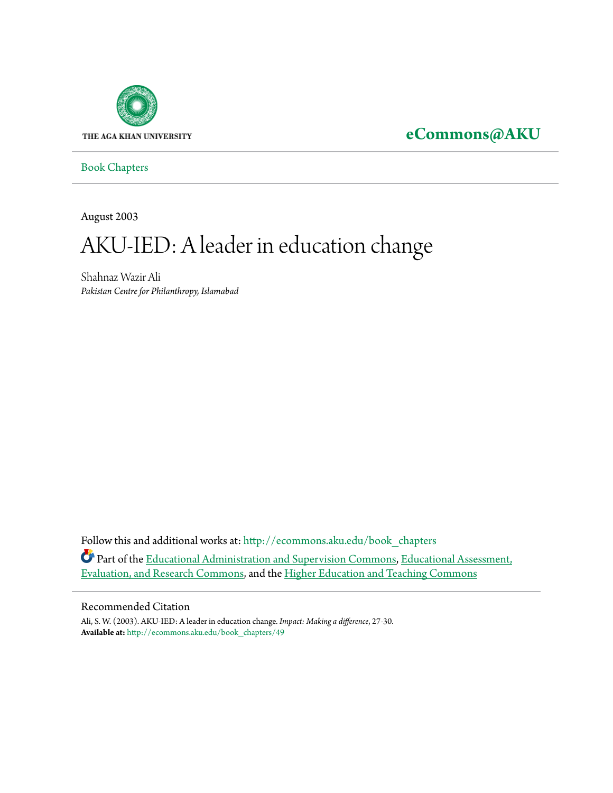

## **[eCommons@AKU](http://ecommons.aku.edu?utm_source=ecommons.aku.edu%2Fbook_chapters%2F49&utm_medium=PDF&utm_campaign=PDFCoverPages)**

[Book Chapters](http://ecommons.aku.edu/book_chapters?utm_source=ecommons.aku.edu%2Fbook_chapters%2F49&utm_medium=PDF&utm_campaign=PDFCoverPages)

August 2003

# AKU-IED: A leader in education change

Shahnaz Wazir Ali *Pakistan Centre for Philanthropy, Islamabad*

Follow this and additional works at: [http://ecommons.aku.edu/book\\_chapters](http://ecommons.aku.edu/book_chapters?utm_source=ecommons.aku.edu%2Fbook_chapters%2F49&utm_medium=PDF&utm_campaign=PDFCoverPages) Part of the [Educational Administration and Supervision Commons,](http://network.bepress.com/hgg/discipline/787?utm_source=ecommons.aku.edu%2Fbook_chapters%2F49&utm_medium=PDF&utm_campaign=PDFCoverPages) [Educational Assessment,](http://network.bepress.com/hgg/discipline/796?utm_source=ecommons.aku.edu%2Fbook_chapters%2F49&utm_medium=PDF&utm_campaign=PDFCoverPages) [Evaluation, and Research Commons,](http://network.bepress.com/hgg/discipline/796?utm_source=ecommons.aku.edu%2Fbook_chapters%2F49&utm_medium=PDF&utm_campaign=PDFCoverPages) and the [Higher Education and Teaching Commons](http://network.bepress.com/hgg/discipline/806?utm_source=ecommons.aku.edu%2Fbook_chapters%2F49&utm_medium=PDF&utm_campaign=PDFCoverPages)

#### Recommended Citation

Ali, S. W. (2003). AKU-IED: A leader in education change. *Impact: Making a difference*, 27-30. **Available at:** [http://ecommons.aku.edu/book\\_chapters/49](http://ecommons.aku.edu/book_chapters/49)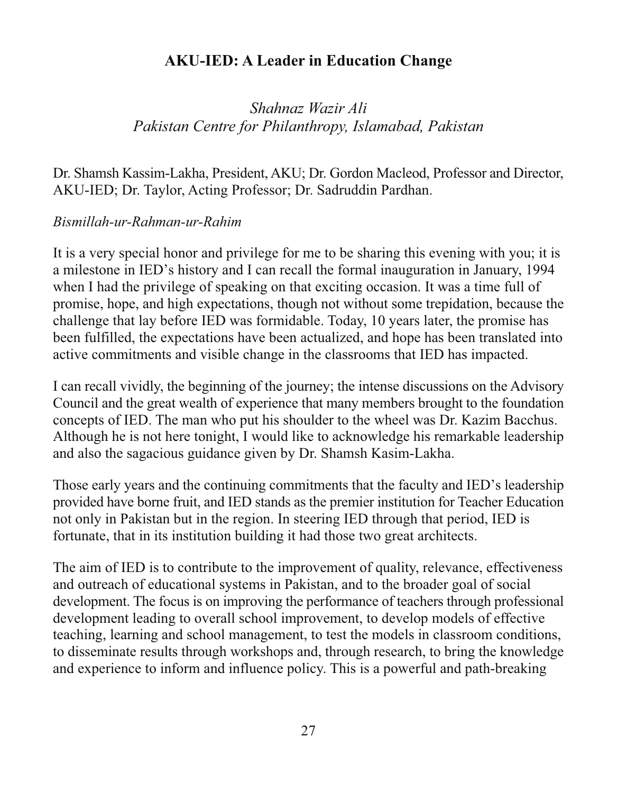### **AKU-IED: A Leader in Education Change**

Shahnaz Wazir Ali Pakistan Centre for Philanthropy, Islamabad, Pakistan

Dr. Shamsh Kassim-Lakha, President, AKU; Dr. Gordon Macleod, Professor and Director, AKU-IED; Dr. Taylor, Acting Professor; Dr. Sadruddin Pardhan.

#### Bismillah-ur-Rahman-ur-Rahim

It is a very special honor and privilege for me to be sharing this evening with you; it is a milestone in IED's history and I can recall the formal inauguration in January, 1994 when I had the privilege of speaking on that exciting occasion. It was a time full of promise, hope, and high expectations, though not without some trepidation, because the challenge that lay before IED was formidable. Today, 10 years later, the promise has been fulfilled, the expectations have been actualized, and hope has been translated into active commitments and visible change in the classrooms that IED has impacted.

I can recall vividly, the beginning of the journey; the intense discussions on the Advisory Council and the great wealth of experience that many members brought to the foundation concepts of IED. The man who put his shoulder to the wheel was Dr. Kazim Bacchus. Although he is not here tonight, I would like to acknowledge his remarkable leadership and also the sagacious guidance given by Dr. Shamsh Kasim-Lakha.

Those early years and the continuing commitments that the faculty and IED's leadership provided have borne fruit, and IED stands as the premier institution for Teacher Education not only in Pakistan but in the region. In steering IED through that period, IED is fortunate, that in its institution building it had those two great architects.

The aim of IED is to contribute to the improvement of quality, relevance, effectiveness and outreach of educational systems in Pakistan, and to the broader goal of social development. The focus is on improving the performance of teachers through professional development leading to overall school improvement, to develop models of effective teaching, learning and school management, to test the models in classroom conditions, to disseminate results through workshops and, through research, to bring the knowledge and experience to inform and influence policy. This is a powerful and path-breaking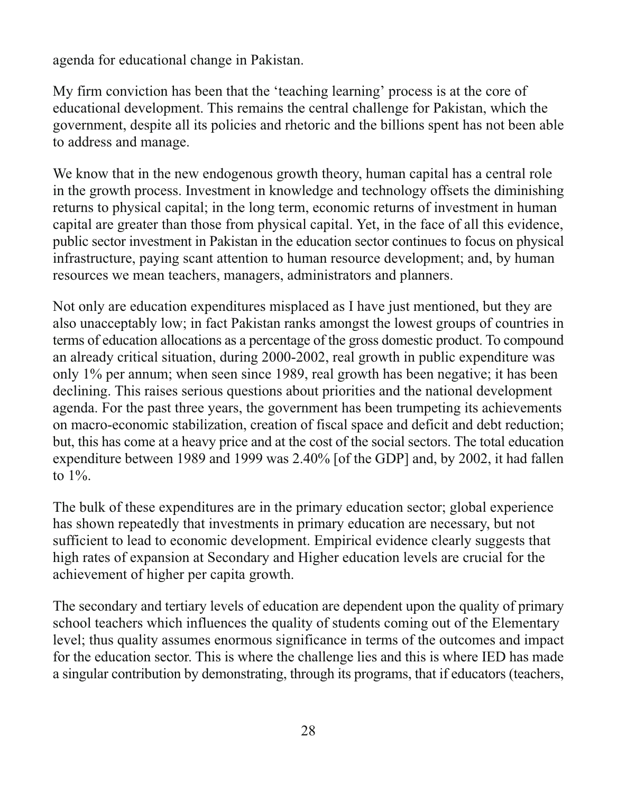agenda for educational change in Pakistan.

My firm conviction has been that the 'teaching learning' process is at the core of educational development. This remains the central challenge for Pakistan, which the government, despite all its policies and rhetoric and the billions spent has not been able to address and manage.

We know that in the new endogenous growth theory, human capital has a central role in the growth process. Investment in knowledge and technology offsets the diminishing returns to physical capital; in the long term, economic returns of investment in human capital are greater than those from physical capital. Yet, in the face of all this evidence, public sector investment in Pakistan in the education sector continues to focus on physical infrastructure, paying scant attention to human resource development; and, by human resources we mean teachers, managers, administrators and planners.

Not only are education expenditures misplaced as I have just mentioned, but they are also unacceptably low; in fact Pakistan ranks amongst the lowest groups of countries in terms of education allocations as a percentage of the gross domestic product. To compound an already critical situation, during 2000-2002, real growth in public expenditure was only 1% per annum; when seen since 1989, real growth has been negative; it has been declining. This raises serious questions about priorities and the national development agenda. For the past three years, the government has been trumpeting its achievements on macro-economic stabilization, creation of fiscal space and deficit and debt reduction; but, this has come at a heavy price and at the cost of the social sectors. The total education expenditure between 1989 and 1999 was 2.40% [of the GDP] and, by 2002, it had fallen to  $1\%$ .

The bulk of these expenditures are in the primary education sector; global experience has shown repeatedly that investments in primary education are necessary, but not sufficient to lead to economic development. Empirical evidence clearly suggests that high rates of expansion at Secondary and Higher education levels are crucial for the achievement of higher per capita growth.

The secondary and tertiary levels of education are dependent upon the quality of primary school teachers which influences the quality of students coming out of the Elementary level; thus quality assumes enormous significance in terms of the outcomes and impact for the education sector. This is where the challenge lies and this is where IED has made a singular contribution by demonstrating, through its programs, that if educators (teachers,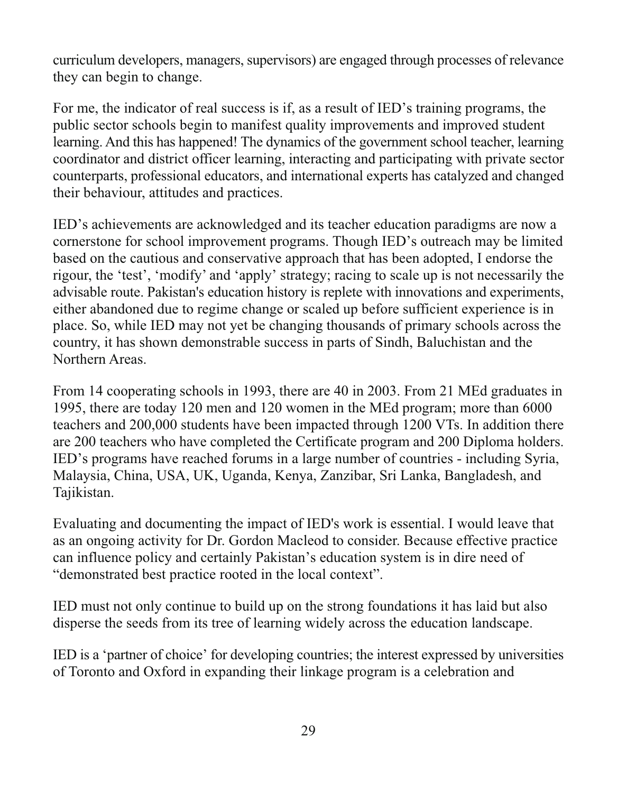curriculum developers, managers, supervisors) are engaged through processes of relevance they can begin to change.

For me, the indicator of real success is if, as a result of IED's training programs, the public sector schools begin to manifest quality improvements and improved student learning. And this has happened! The dynamics of the government school teacher, learning coordinator and district officer learning, interacting and participating with private sector counterparts, professional educators, and international experts has catalyzed and changed their behaviour, attitudes and practices.

IED's achievements are acknowledged and its teacher education paradigms are now a cornerstone for school improvement programs. Though IED's outreach may be limited based on the cautious and conservative approach that has been adopted. I endorse the rigour, the 'test', 'modify' and 'apply' strategy; racing to scale up is not necessarily the advisable route. Pakistan's education history is replete with innovations and experiments, either abandoned due to regime change or scaled up before sufficient experience is in place. So, while IED may not yet be changing thousands of primary schools across the country, it has shown demonstrable success in parts of Sindh, Baluchistan and the Northern Areas.

From 14 cooperating schools in 1993, there are 40 in 2003. From 21 MEd graduates in 1995, there are today 120 men and 120 women in the MEd program; more than 6000 teachers and 200,000 students have been impacted through 1200 VTs. In addition there are 200 teachers who have completed the Certificate program and 200 Diploma holders. IED's programs have reached forums in a large number of countries - including Syria, Malaysia, China, USA, UK, Uganda, Kenya, Zanzibar, Sri Lanka, Bangladesh, and Tajikistan.

Evaluating and documenting the impact of IED's work is essential. I would leave that as an ongoing activity for Dr. Gordon Macleod to consider. Because effective practice can influence policy and certainly Pakistan's education system is in dire need of "demonstrated best practice rooted in the local context".

IED must not only continue to build up on the strong foundations it has laid but also disperse the seeds from its tree of learning widely across the education landscape.

IED is a 'partner of choice' for developing countries; the interest expressed by universities of Toronto and Oxford in expanding their linkage program is a celebration and